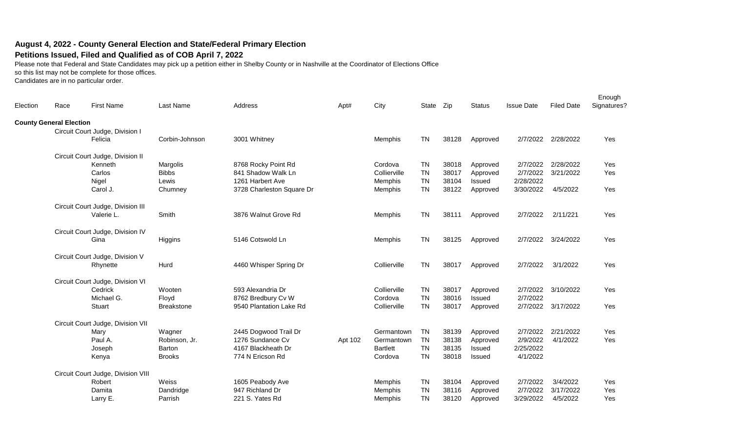## **August 4, 2022 - County General Election and State/Federal Primary Election**

## **Petitions Issued, Filed and Qualified as of COB April 7, 2022**

Please note that Federal and State Candidates may pick up a petition either in Shelby County or in Nashville at the Coordinator of Elections Office

so this list may not be complete for those offices.

Candidates are in no particular order.

| Election | Race                           | <b>First Name</b>                  | Last Name         | Address                   | Apt#    | City            | State Zip |       | <b>Status</b> | <b>Issue Date</b> | <b>Filed Date</b>  | Enough<br>Signatures? |
|----------|--------------------------------|------------------------------------|-------------------|---------------------------|---------|-----------------|-----------|-------|---------------|-------------------|--------------------|-----------------------|
|          | <b>County General Election</b> |                                    |                   |                           |         |                 |           |       |               |                   |                    |                       |
|          |                                | Circuit Court Judge, Division I    |                   |                           |         |                 |           |       |               |                   |                    |                       |
|          |                                | Felicia                            | Corbin-Johnson    | 3001 Whitney              |         | Memphis         | <b>TN</b> | 38128 | Approved      | 2/7/2022          | 2/28/2022          | Yes                   |
|          |                                | Circuit Court Judge, Division II   |                   |                           |         |                 |           |       |               |                   |                    |                       |
|          |                                | Kenneth                            | Margolis          | 8768 Rocky Point Rd       |         | Cordova         | <b>TN</b> | 38018 | Approved      | 2/7/2022          | 2/28/2022          | Yes                   |
|          |                                | Carlos                             | <b>Bibbs</b>      | 841 Shadow Walk Ln        |         | Collierville    | <b>TN</b> | 38017 | Approved      | 2/7/2022          | 3/21/2022          | Yes                   |
|          |                                | Nigel                              | Lewis             | 1261 Harbert Ave          |         | Memphis         | <b>TN</b> | 38104 | Issued        | 2/28/2022         |                    |                       |
|          |                                | Carol J.                           | Chumney           | 3728 Charleston Square Dr |         | Memphis         | <b>TN</b> | 38122 | Approved      | 3/30/2022         | 4/5/2022           | Yes                   |
|          |                                | Circuit Court Judge, Division III  |                   |                           |         |                 |           |       |               |                   |                    |                       |
|          |                                | Valerie L.                         | Smith             | 3876 Walnut Grove Rd      |         | Memphis         | <b>TN</b> | 38111 | Approved      | 2/7/2022          | 2/11/221           | Yes                   |
|          |                                | Circuit Court Judge, Division IV   |                   |                           |         |                 |           |       |               |                   |                    |                       |
|          |                                | Gina                               | Higgins           | 5146 Cotswold Ln          |         | Memphis         | <b>TN</b> | 38125 | Approved      | 2/7/2022          | 3/24/2022          | Yes                   |
|          |                                | Circuit Court Judge, Division V    |                   |                           |         |                 |           |       |               |                   |                    |                       |
|          |                                | Rhynette                           | Hurd              | 4460 Whisper Spring Dr    |         | Collierville    | <b>TN</b> | 38017 | Approved      | 2/7/2022          | 3/1/2022           | Yes                   |
|          |                                | Circuit Court Judge, Division VI   |                   |                           |         |                 |           |       |               |                   |                    |                       |
|          |                                | Cedrick                            | Wooten            | 593 Alexandria Dr         |         | Collierville    | <b>TN</b> | 38017 | Approved      | 2/7/2022          | 3/10/2022          | Yes                   |
|          |                                | Michael G.                         | Floyd             | 8762 Bredbury Cv W        |         | Cordova         | <b>TN</b> | 38016 | Issued        | 2/7/2022          |                    |                       |
|          |                                | Stuart                             | <b>Breakstone</b> | 9540 Plantation Lake Rd   |         | Collierville    | <b>TN</b> | 38017 | Approved      |                   | 2/7/2022 3/17/2022 | Yes                   |
|          |                                | Circuit Court Judge, Division VII  |                   |                           |         |                 |           |       |               |                   |                    |                       |
|          |                                | Mary                               | Wagner            | 2445 Dogwood Trail Dr     |         | Germantown      | <b>TN</b> | 38139 | Approved      | 2/7/2022          | 2/21/2022          | Yes                   |
|          |                                | Paul A.                            | Robinson, Jr.     | 1276 Sundance Cv          | Apt 102 | Germantown      | <b>TN</b> | 38138 | Approved      | 2/9/2022          | 4/1/2022           | Yes                   |
|          |                                | Joseph                             | Barton            | 4167 Blackheath Dr        |         | <b>Bartlett</b> | <b>TN</b> | 38135 | Issued        | 2/25/2022         |                    |                       |
|          |                                | Kenya                              | <b>Brooks</b>     | 774 N Ericson Rd          |         | Cordova         | <b>TN</b> | 38018 | Issued        | 4/1/2022          |                    |                       |
|          |                                | Circuit Court Judge, Division VIII |                   |                           |         |                 |           |       |               |                   |                    |                       |
|          |                                | Robert                             | Weiss             | 1605 Peabody Ave          |         | Memphis         | <b>TN</b> | 38104 | Approved      | 2/7/2022          | 3/4/2022           | Yes                   |
|          |                                | Damita                             | Dandridge         | 947 Richland Dr           |         | Memphis         | <b>TN</b> | 38116 | Approved      | 2/7/2022          | 3/17/2022          | Yes                   |
|          |                                | Larry E.                           | Parrish           | 221 S. Yates Rd           |         | Memphis         | <b>TN</b> | 38120 | Approved      | 3/29/2022         | 4/5/2022           | Yes                   |
|          |                                |                                    |                   |                           |         |                 |           |       |               |                   |                    |                       |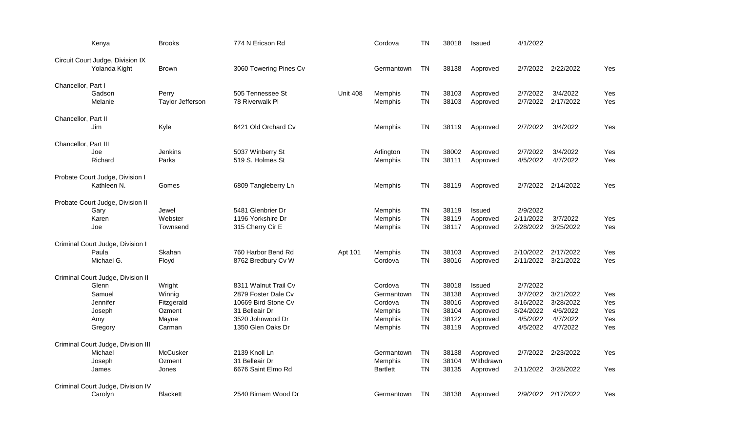|                      | Kenya                                                                                        | <b>Brooks</b>                                               | 774 N Ericson Rd                                                                                                              |                 | Cordova                                                           | <b>TN</b>                                                                  | 38018                                              | Issued                                                                    | 4/1/2022                                                               |                                                            |                                 |
|----------------------|----------------------------------------------------------------------------------------------|-------------------------------------------------------------|-------------------------------------------------------------------------------------------------------------------------------|-----------------|-------------------------------------------------------------------|----------------------------------------------------------------------------|----------------------------------------------------|---------------------------------------------------------------------------|------------------------------------------------------------------------|------------------------------------------------------------|---------------------------------|
|                      | Circuit Court Judge, Division IX<br>Yolanda Kight                                            | <b>Brown</b>                                                | 3060 Towering Pines Cv                                                                                                        |                 | Germantown                                                        | TN                                                                         | 38138                                              | Approved                                                                  |                                                                        | 2/7/2022 2/22/2022                                         | Yes                             |
| Chancellor, Part I   | Gadson<br>Melanie                                                                            | Perry<br>Taylor Jefferson                                   | 505 Tennessee St<br>78 Riverwalk Pl                                                                                           | <b>Unit 408</b> | Memphis<br>Memphis                                                | <b>TN</b><br><b>TN</b>                                                     | 38103<br>38103                                     | Approved<br>Approved                                                      | 2/7/2022<br>2/7/2022                                                   | 3/4/2022<br>2/17/2022                                      | Yes<br>Yes                      |
| Chancellor, Part II  | Jim                                                                                          | Kyle                                                        | 6421 Old Orchard Cv                                                                                                           |                 | Memphis                                                           | <b>TN</b>                                                                  | 38119                                              | Approved                                                                  | 2/7/2022                                                               | 3/4/2022                                                   | Yes                             |
| Chancellor, Part III | Joe<br>Richard                                                                               | <b>Jenkins</b><br>Parks                                     | 5037 Winberry St<br>519 S. Holmes St                                                                                          |                 | Arlington<br>Memphis                                              | <b>TN</b><br><b>TN</b>                                                     | 38002<br>38111                                     | Approved<br>Approved                                                      | 2/7/2022<br>4/5/2022                                                   | 3/4/2022<br>4/7/2022                                       | Yes<br>Yes                      |
|                      | Probate Court Judge, Division I<br>Kathleen N.                                               | Gomes                                                       | 6809 Tangleberry Ln                                                                                                           |                 | Memphis                                                           | <b>TN</b>                                                                  | 38119                                              | Approved                                                                  | 2/7/2022                                                               | 2/14/2022                                                  | Yes                             |
|                      | Probate Court Judge, Division II<br>Gary<br>Karen<br>Joe                                     | Jewel<br>Webster<br>Townsend                                | 5481 Glenbrier Dr<br>1196 Yorkshire Dr<br>315 Cherry Cir E                                                                    |                 | Memphis<br>Memphis<br>Memphis                                     | TN<br><b>TN</b><br><b>TN</b>                                               | 38119<br>38119<br>38117                            | Issued<br>Approved<br>Approved                                            | 2/9/2022<br>2/11/2022<br>2/28/2022                                     | 3/7/2022<br>3/25/2022                                      | Yes<br>Yes                      |
|                      | Criminal Court Judge, Division I<br>Paula<br>Michael G.                                      | Skahan<br>Floyd                                             | 760 Harbor Bend Rd<br>8762 Bredbury Cv W                                                                                      | Apt 101         | Memphis<br>Cordova                                                | <b>TN</b><br><b>TN</b>                                                     | 38103<br>38016                                     | Approved<br>Approved                                                      | 2/10/2022<br>2/11/2022                                                 | 2/17/2022<br>3/21/2022                                     | Yes<br>Yes                      |
|                      | Criminal Court Judge, Division II<br>Glenn<br>Samuel<br>Jennifer<br>Joseph<br>Amy<br>Gregory | Wright<br>Winnig<br>Fitzgerald<br>Ozment<br>Mayne<br>Carman | 8311 Walnut Trail Cv<br>2879 Foster Dale Cv<br>10669 Bird Stone Cv<br>31 Belleair Dr<br>3520 Johnwood Dr<br>1350 Glen Oaks Dr |                 | Cordova<br>Germantown<br>Cordova<br>Memphis<br>Memphis<br>Memphis | <b>TN</b><br><b>TN</b><br><b>TN</b><br><b>TN</b><br><b>TN</b><br><b>TN</b> | 38018<br>38138<br>38016<br>38104<br>38122<br>38119 | <b>Issued</b><br>Approved<br>Approved<br>Approved<br>Approved<br>Approved | 2/7/2022<br>3/7/2022<br>3/16/2022<br>3/24/2022<br>4/5/2022<br>4/5/2022 | 3/21/2022<br>3/28/2022<br>4/6/2022<br>4/7/2022<br>4/7/2022 | Yes<br>Yes<br>Yes<br>Yes<br>Yes |
|                      | Criminal Court Judge, Division III<br>Michael<br>Joseph<br>James                             | <b>McCusker</b><br>Ozment<br>Jones                          | 2139 Knoll Ln<br>31 Belleair Dr<br>6676 Saint Elmo Rd                                                                         |                 | Germantown<br>Memphis<br><b>Bartlett</b>                          | <b>TN</b><br><b>TN</b><br><b>TN</b>                                        | 38138<br>38104<br>38135                            | Approved<br>Withdrawn<br>Approved                                         | 2/7/2022                                                               | 2/23/2022<br>2/11/2022 3/28/2022                           | Yes<br>Yes                      |
|                      | Criminal Court Judge, Division IV<br>Carolyn                                                 | <b>Blackett</b>                                             | 2540 Birnam Wood Dr                                                                                                           |                 | Germantown                                                        | TN                                                                         | 38138                                              | Approved                                                                  |                                                                        | 2/9/2022 2/17/2022                                         | Yes                             |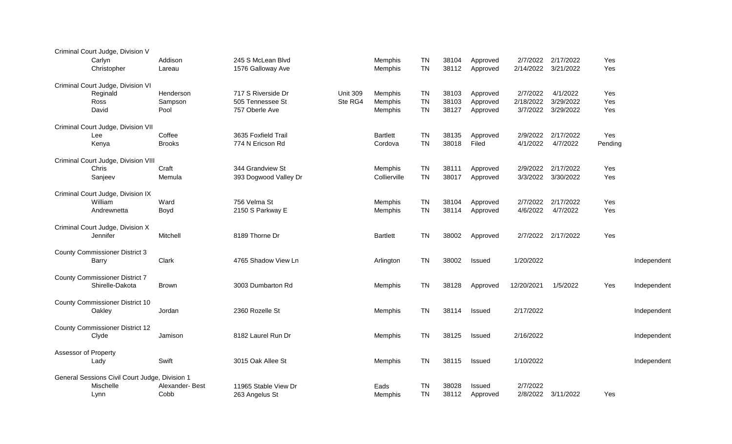|                      | Criminal Court Judge, Division V<br>Carlyn<br>Christopher | Addison<br>Lareau | 245 S McLean Blvd<br>1576 Galloway Ave |                 | Memphis<br>Memphis | <b>TN</b><br><b>TN</b> | 38104<br>38112 | Approved<br>Approved | 2/7/2022<br>2/14/2022 | 2/17/2022<br>3/21/2022 | Yes<br>Yes |             |
|----------------------|-----------------------------------------------------------|-------------------|----------------------------------------|-----------------|--------------------|------------------------|----------------|----------------------|-----------------------|------------------------|------------|-------------|
|                      |                                                           |                   |                                        |                 |                    |                        |                |                      |                       |                        |            |             |
|                      | Criminal Court Judge, Division VI<br>Reginald             | Henderson         | 717 S Riverside Dr                     | <b>Unit 309</b> | Memphis            | <b>TN</b>              | 38103          | Approved             | 2/7/2022              | 4/1/2022               | Yes        |             |
|                      | Ross                                                      | Sampson           | 505 Tennessee St                       | Ste RG4         | Memphis            | <b>TN</b>              | 38103          | Approved             | 2/18/2022             | 3/29/2022              | Yes        |             |
|                      | David                                                     | Pool              | 757 Oberle Ave                         |                 | Memphis            | <b>TN</b>              | 38127          | Approved             | 3/7/2022              | 3/29/2022              | Yes        |             |
|                      | Criminal Court Judge, Division VII                        |                   |                                        |                 |                    |                        |                |                      |                       |                        |            |             |
|                      | Lee                                                       | Coffee            | 3635 Foxfield Trail                    |                 | Bartlett           | <b>TN</b>              | 38135          | Approved             | 2/9/2022              | 2/17/2022              | Yes        |             |
|                      | Kenya                                                     | <b>Brooks</b>     | 774 N Ericson Rd                       |                 | Cordova            | <b>TN</b>              | 38018          | Filed                | 4/1/2022              | 4/7/2022               | Pending    |             |
|                      | Criminal Court Judge, Division VIII                       |                   |                                        |                 |                    |                        |                |                      |                       |                        |            |             |
|                      | Chris                                                     | Craft             | 344 Grandview St                       |                 | Memphis            | <b>TN</b>              | 38111          | Approved             | 2/9/2022              | 2/17/2022              | Yes        |             |
|                      | Sanjeev                                                   | Memula            | 393 Dogwood Valley Dr                  |                 | Collierville       | <b>TN</b>              | 38017          | Approved             | 3/3/2022              | 3/30/2022              | Yes        |             |
|                      | Criminal Court Judge, Division IX                         |                   |                                        |                 |                    |                        |                |                      |                       |                        |            |             |
|                      | William                                                   | Ward              | 756 Velma St                           |                 | Memphis            | <b>TN</b>              | 38104          | Approved             | 2/7/2022              | 2/17/2022              | Yes        |             |
|                      | Andrewnetta                                               | Boyd              | 2150 S Parkway E                       |                 | Memphis            | <b>TN</b>              | 38114          | Approved             | 4/6/2022              | 4/7/2022               | Yes        |             |
|                      | Criminal Court Judge, Division X                          |                   |                                        |                 |                    |                        |                |                      |                       |                        |            |             |
|                      | Jennifer                                                  | Mitchell          | 8189 Thorne Dr                         |                 | <b>Bartlett</b>    | <b>TN</b>              | 38002          | Approved             |                       | 2/7/2022 2/17/2022     | Yes        |             |
|                      |                                                           |                   |                                        |                 |                    |                        |                |                      |                       |                        |            |             |
|                      | <b>County Commissioner District 3</b><br>Barry            | Clark             | 4765 Shadow View Ln                    |                 | Arlington          | <b>TN</b>              | 38002          | Issued               | 1/20/2022             |                        |            | Independent |
|                      |                                                           |                   |                                        |                 |                    |                        |                |                      |                       |                        |            |             |
|                      | <b>County Commissioner District 7</b>                     |                   |                                        |                 |                    |                        |                |                      |                       |                        |            |             |
|                      | Shirelle-Dakota                                           | Brown             | 3003 Dumbarton Rd                      |                 | Memphis            | <b>TN</b>              | 38128          | Approved             | 12/20/2021            | 1/5/2022               | Yes        | Independent |
|                      | County Commissioner District 10                           |                   |                                        |                 |                    |                        |                |                      |                       |                        |            |             |
|                      | Oakley                                                    | Jordan            | 2360 Rozelle St                        |                 | Memphis            | TN                     | 38114          | Issued               | 2/17/2022             |                        |            | Independent |
|                      |                                                           |                   |                                        |                 |                    |                        |                |                      |                       |                        |            |             |
|                      | <b>County Commissioner District 12</b><br>Clyde           | Jamison           | 8182 Laurel Run Dr                     |                 | Memphis            | <b>TN</b>              | 38125          | Issued               | 2/16/2022             |                        |            | Independent |
|                      |                                                           |                   |                                        |                 |                    |                        |                |                      |                       |                        |            |             |
| Assessor of Property |                                                           |                   |                                        |                 |                    |                        |                |                      |                       |                        |            |             |
|                      | Lady                                                      | Swift             | 3015 Oak Allee St                      |                 | Memphis            | <b>TN</b>              | 38115          | Issued               | 1/10/2022             |                        |            | Independent |
|                      | General Sessions Civil Court Judge, Division 1            |                   |                                        |                 |                    |                        |                |                      |                       |                        |            |             |
|                      | Mischelle                                                 | Alexander-Best    | 11965 Stable View Dr                   |                 | Eads               | <b>TN</b>              | 38028          | Issued               | 2/7/2022              |                        |            |             |
|                      | Lynn                                                      | Cobb              | 263 Angelus St                         |                 | Memphis            | <b>TN</b>              | 38112          | Approved             | 2/8/2022              | 3/11/2022              | Yes        |             |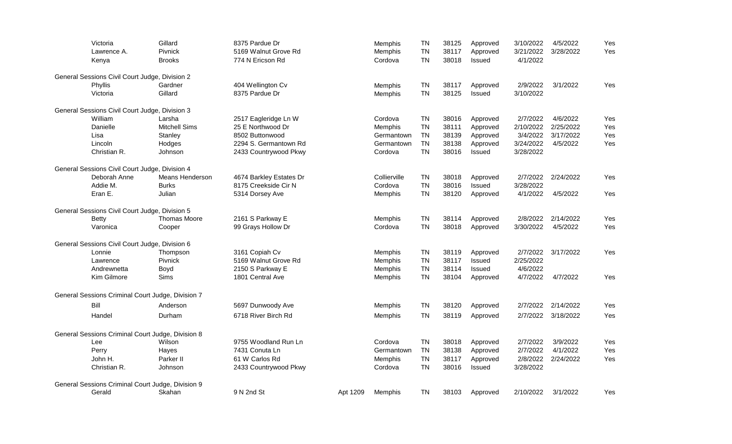| Victoria                                          | Gillard              | 8375 Pardue Dr          |          | Memphis        | <b>TN</b>              | 38125 | Approved      | 3/10/2022 | 4/5/2022  | Yes |
|---------------------------------------------------|----------------------|-------------------------|----------|----------------|------------------------|-------|---------------|-----------|-----------|-----|
| Lawrence A.                                       | <b>Pivnick</b>       | 5169 Walnut Grove Rd    |          | Memphis        | <b>TN</b><br><b>TN</b> | 38117 | Approved      | 3/21/2022 | 3/28/2022 | Yes |
| Kenya                                             | <b>Brooks</b>        | 774 N Ericson Rd        |          | Cordova        |                        | 38018 | Issued        | 4/1/2022  |           |     |
| General Sessions Civil Court Judge, Division 2    |                      |                         |          |                |                        |       |               |           |           |     |
| Phyllis                                           | Gardner              | 404 Wellington Cv       |          | Memphis        | TN                     | 38117 | Approved      | 2/9/2022  | 3/1/2022  | Yes |
| Victoria                                          | Gillard              | 8375 Pardue Dr          |          | Memphis        | <b>TN</b>              | 38125 | Issued        | 3/10/2022 |           |     |
| General Sessions Civil Court Judge, Division 3    |                      |                         |          |                |                        |       |               |           |           |     |
| William                                           | Larsha               | 2517 Eagleridge Ln W    |          | Cordova        | <b>TN</b>              | 38016 | Approved      | 2/7/2022  | 4/6/2022  | Yes |
| Danielle                                          | <b>Mitchell Sims</b> | 25 E Northwood Dr       |          | Memphis        | <b>TN</b>              | 38111 | Approved      | 2/10/2022 | 2/25/2022 | Yes |
| Lisa                                              | Stanley              | 8502 Buttonwood         |          | Germantown     | <b>TN</b>              | 38139 | Approved      | 3/4/2022  | 3/17/2022 | Yes |
| Lincoln                                           | Hodges               | 2294 S. Germantown Rd   |          | Germantown     | <b>TN</b>              | 38138 | Approved      | 3/24/2022 | 4/5/2022  | Yes |
| Christian R.                                      | Johnson              | 2433 Countrywood Pkwy   |          | Cordova        | <b>TN</b>              | 38016 | Issued        | 3/28/2022 |           |     |
| General Sessions Civil Court Judge, Division 4    |                      |                         |          |                |                        |       |               |           |           |     |
| Deborah Anne                                      | Means Henderson      | 4674 Barkley Estates Dr |          | Collierville   | <b>TN</b>              | 38018 | Approved      | 2/7/2022  | 2/24/2022 | Yes |
| Addie M.                                          | <b>Burks</b>         | 8175 Creekside Cir N    |          | Cordova        | <b>TN</b>              | 38016 | Issued        | 3/28/2022 |           |     |
| Eran E.                                           | Julian               | 5314 Dorsey Ave         |          | Memphis        | <b>TN</b>              | 38120 | Approved      | 4/1/2022  | 4/5/2022  | Yes |
| General Sessions Civil Court Judge, Division 5    |                      |                         |          |                |                        |       |               |           |           |     |
| <b>Betty</b>                                      | <b>Thomas Moore</b>  | 2161 S Parkway E        |          | Memphis        | <b>TN</b>              | 38114 | Approved      | 2/8/2022  | 2/14/2022 | Yes |
| Varonica                                          | Cooper               | 99 Grays Hollow Dr      |          | Cordova        | <b>TN</b>              | 38018 | Approved      | 3/30/2022 | 4/5/2022  | Yes |
| General Sessions Civil Court Judge, Division 6    |                      |                         |          |                |                        |       |               |           |           |     |
| Lonnie                                            | Thompson             | 3161 Copiah Cv          |          | <b>Memphis</b> | <b>TN</b>              | 38119 | Approved      | 2/7/2022  | 3/17/2022 | Yes |
| Lawrence                                          | Pivnick              | 5169 Walnut Grove Rd    |          | Memphis        | <b>TN</b>              | 38117 | Issued        | 2/25/2022 |           |     |
| Andrewnetta                                       | Boyd                 | 2150 S Parkway E        |          | Memphis        | <b>TN</b>              | 38114 | <b>Issued</b> | 4/6/2022  |           |     |
| Kim Gilmore                                       | Sims                 | 1801 Central Ave        |          | Memphis        | <b>TN</b>              | 38104 | Approved      | 4/7/2022  | 4/7/2022  | Yes |
| General Sessions Criminal Court Judge, Division 7 |                      |                         |          |                |                        |       |               |           |           |     |
| Bill                                              | Anderson             | 5697 Dunwoody Ave       |          | Memphis        | <b>TN</b>              | 38120 | Approved      | 2/7/2022  | 2/14/2022 | Yes |
| Handel                                            | Durham               | 6718 River Birch Rd     |          | <b>Memphis</b> | <b>TN</b>              | 38119 | Approved      | 2/7/2022  | 3/18/2022 | Yes |
| General Sessions Criminal Court Judge, Division 8 |                      |                         |          |                |                        |       |               |           |           |     |
| Lee                                               | Wilson               | 9755 Woodland Run Ln    |          | Cordova        | <b>TN</b>              | 38018 | Approved      | 2/7/2022  | 3/9/2022  | Yes |
| Perry                                             | Hayes                | 7431 Conuta Ln          |          | Germantown     | <b>TN</b>              | 38138 | Approved      | 2/7/2022  | 4/1/2022  | Yes |
| John H.                                           | Parker II            | 61 W Carlos Rd          |          | Memphis        | <b>TN</b>              | 38117 | Approved      | 2/8/2022  | 2/24/2022 | Yes |
| Christian R.                                      | Johnson              | 2433 Countrywood Pkwy   |          | Cordova        | <b>TN</b>              | 38016 | Issued        | 3/28/2022 |           |     |
| General Sessions Criminal Court Judge, Division 9 |                      |                         |          |                |                        |       |               |           |           |     |
| Gerald                                            | Skahan               | 9 N 2nd St              | Apt 1209 | Memphis        | <b>TN</b>              | 38103 | Approved      | 2/10/2022 | 3/1/2022  | Yes |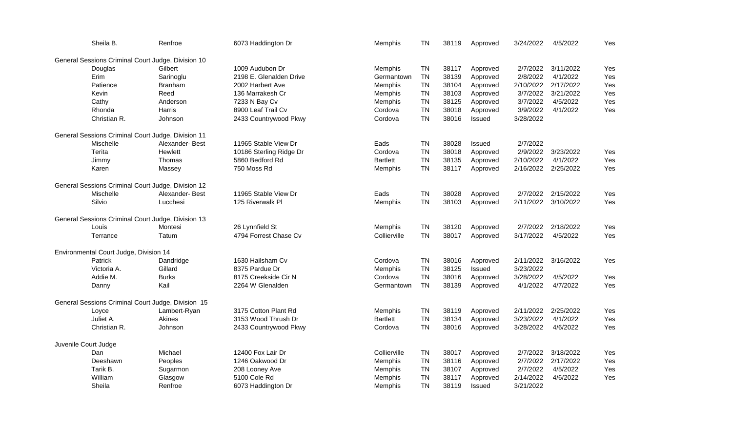| Sheila B.                                          | Renfroe        | 6073 Haddington Dr      | Memphis         | <b>TN</b>              | 38119          | Approved | 3/24/2022              | 4/5/2022  | Yes |
|----------------------------------------------------|----------------|-------------------------|-----------------|------------------------|----------------|----------|------------------------|-----------|-----|
| General Sessions Criminal Court Judge, Division 10 |                |                         |                 |                        |                |          |                        |           |     |
| Douglas                                            | Gilbert        | 1009 Audubon Dr         | Memphis         | <b>TN</b>              | 38117          | Approved | 2/7/2022               | 3/11/2022 | Yes |
| Erim                                               | Sarinoglu      | 2198 E. Glenalden Drive | Germantown      | <b>TN</b>              | 38139          | Approved | 2/8/2022               | 4/1/2022  | Yes |
| Patience                                           | <b>Branham</b> | 2002 Harbert Ave        | Memphis         | <b>TN</b>              | 38104          | Approved | 2/10/2022              | 2/17/2022 | Yes |
| Kevin                                              | Reed           | 136 Marrakesh Cr        | Memphis         | <b>TN</b>              | 38103          | Approved | 3/7/2022               | 3/21/2022 | Yes |
| Cathy                                              | Anderson       | 7233 N Bay Cv           | Memphis         | <b>TN</b>              | 38125          | Approved | 3/7/2022               | 4/5/2022  | Yes |
| Rhonda                                             | Harris         | 8900 Leaf Trail Cv      | Cordova         | <b>TN</b>              | 38018          | Approved | 3/9/2022               | 4/1/2022  | Yes |
| Christian R.                                       | Johnson        | 2433 Countrywood Pkwy   | Cordova         | <b>TN</b>              | 38016          | Issued   | 3/28/2022              |           |     |
| General Sessions Criminal Court Judge, Division 11 |                |                         |                 |                        |                |          |                        |           |     |
|                                                    |                |                         |                 |                        |                |          |                        |           |     |
| Mischelle                                          | Alexander-Best | 11965 Stable View Dr    | Eads            | <b>TN</b><br><b>TN</b> | 38028<br>38018 | Issued   | 2/7/2022               |           |     |
| Terita                                             | Hewlett        | 10186 Sterling Ridge Dr | Cordova         |                        |                | Approved | 2/9/2022               | 3/23/2022 | Yes |
| Jimmy                                              | Thomas         | 5860 Bedford Rd         | <b>Bartlett</b> | <b>TN</b>              | 38135          | Approved | 2/10/2022              | 4/1/2022  | Yes |
| Karen                                              | Massey         | 750 Moss Rd             | Memphis         | <b>TN</b>              | 38117          | Approved | 2/16/2022              | 2/25/2022 | Yes |
| General Sessions Criminal Court Judge, Division 12 |                |                         |                 |                        |                |          |                        |           |     |
| Mischelle                                          | Alexander-Best | 11965 Stable View Dr    | Eads            | <b>TN</b>              | 38028          | Approved | 2/7/2022               | 2/15/2022 | Yes |
| Silvio                                             | Lucchesi       | 125 Riverwalk Pl        | Memphis         | <b>TN</b>              | 38103          | Approved | 2/11/2022              | 3/10/2022 | Yes |
| General Sessions Criminal Court Judge, Division 13 |                |                         |                 |                        |                |          |                        |           |     |
| Louis                                              | Montesi        | 26 Lynnfield St         | Memphis         | <b>TN</b>              | 38120          | Approved | 2/7/2022               | 2/18/2022 | Yes |
| Terrance                                           | Tatum          | 4794 Forrest Chase Cv   | Collierville    | <b>TN</b>              | 38017          | Approved | 3/17/2022              | 4/5/2022  | Yes |
| Environmental Court Judge, Division 14             |                |                         |                 |                        |                |          |                        |           |     |
| <b>Patrick</b>                                     |                | 1630 Hailsham Cv        | Cordova         | <b>TN</b>              |                |          |                        |           |     |
|                                                    | Dandridge      |                         |                 |                        | 38016          | Approved | 2/11/2022              | 3/16/2022 | Yes |
| Victoria A.                                        | Gillard        | 8375 Pardue Dr          | Memphis         | <b>TN</b>              | 38125          | Issued   | 3/23/2022<br>3/28/2022 |           |     |
| Addie M.                                           | <b>Burks</b>   | 8175 Creekside Cir N    | Cordova         | <b>TN</b>              | 38016          | Approved |                        | 4/5/2022  | Yes |
| Danny                                              | Kail           | 2264 W Glenalden        | Germantown      | <b>TN</b>              | 38139          | Approved | 4/1/2022               | 4/7/2022  | Yes |
| General Sessions Criminal Court Judge, Division 15 |                |                         |                 |                        |                |          |                        |           |     |
| Loyce                                              | Lambert-Ryan   | 3175 Cotton Plant Rd    | <b>Memphis</b>  | <b>TN</b>              | 38119          | Approved | 2/11/2022              | 2/25/2022 | Yes |
| Juliet A.                                          | Akines         | 3153 Wood Thrush Dr     | <b>Bartlett</b> | <b>TN</b>              | 38134          | Approved | 3/23/2022              | 4/1/2022  | Yes |
| Christian R.                                       | Johnson        | 2433 Countrywood Pkwy   | Cordova         | <b>TN</b>              | 38016          | Approved | 3/28/2022              | 4/6/2022  | Yes |
| Juvenile Court Judge                               |                |                         |                 |                        |                |          |                        |           |     |
| Dan                                                | Michael        | 12400 Fox Lair Dr       | Collierville    | <b>TN</b>              | 38017          | Approved | 2/7/2022               | 3/18/2022 | Yes |
| Deeshawn                                           | Peoples        | 1246 Oakwood Dr         | Memphis         | <b>TN</b>              | 38116          | Approved | 2/7/2022               | 2/17/2022 | Yes |
| Tarik B.                                           | Sugarmon       | 208 Looney Ave          | Memphis         | TN                     | 38107          | Approved | 2/7/2022               | 4/5/2022  | Yes |
| William                                            | Glasgow        | 5100 Cole Rd            | Memphis         | <b>TN</b>              | 38117          | Approved | 2/14/2022              | 4/6/2022  | Yes |
| Sheila                                             | Renfroe        | 6073 Haddington Dr      | Memphis         | <b>TN</b>              | 38119          | Issued   | 3/21/2022              |           |     |
|                                                    |                |                         |                 |                        |                |          |                        |           |     |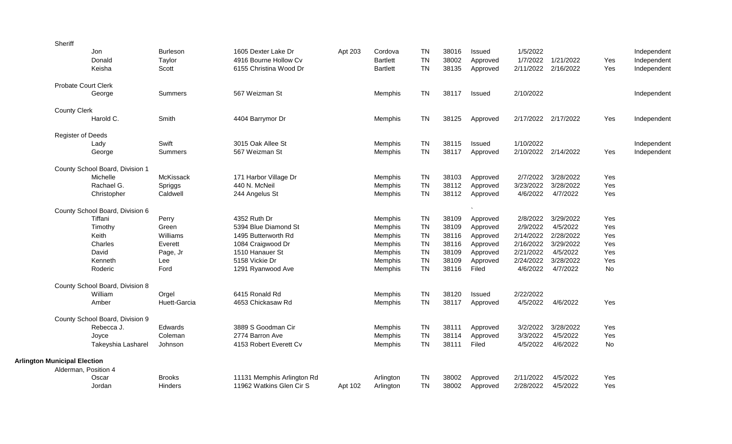|                                     | Sheriff                    |                                 |                 |                            |         |                 |           |       |          |           |                     |     |             |
|-------------------------------------|----------------------------|---------------------------------|-----------------|----------------------------|---------|-----------------|-----------|-------|----------|-----------|---------------------|-----|-------------|
|                                     |                            | Jon                             | <b>Burleson</b> | 1605 Dexter Lake Dr        | Apt 203 | Cordova         | <b>TN</b> | 38016 | Issued   | 1/5/2022  |                     |     | Independent |
|                                     |                            | Donald                          | Taylor          | 4916 Bourne Hollow Cv      |         | <b>Bartlett</b> | <b>TN</b> | 38002 | Approved | 1/7/2022  | 1/21/2022           | Yes | Independent |
|                                     |                            | Keisha                          | Scott           | 6155 Christina Wood Dr     |         | <b>Bartlett</b> | <b>TN</b> | 38135 | Approved | 2/11/2022 | 2/16/2022           | Yes | Independent |
|                                     | <b>Probate Court Clerk</b> |                                 |                 |                            |         |                 |           |       |          |           |                     |     |             |
|                                     |                            | George                          | <b>Summers</b>  | 567 Weizman St             |         | Memphis         | <b>TN</b> | 38117 | Issued   | 2/10/2022 |                     |     | Independent |
|                                     | <b>County Clerk</b>        |                                 |                 |                            |         |                 |           |       |          |           |                     |     |             |
|                                     |                            | Harold C.                       | Smith           | 4404 Barrymor Dr           |         | <b>Memphis</b>  | <b>TN</b> | 38125 | Approved | 2/17/2022 | 2/17/2022           | Yes | Independent |
|                                     | <b>Register of Deeds</b>   |                                 |                 |                            |         |                 |           |       |          |           |                     |     |             |
|                                     |                            | Lady                            | Swift           | 3015 Oak Allee St          |         | Memphis         | <b>TN</b> | 38115 | Issued   | 1/10/2022 |                     |     | Independent |
|                                     |                            | George                          | <b>Summers</b>  | 567 Weizman St             |         | Memphis         | <b>TN</b> | 38117 | Approved |           | 2/10/2022 2/14/2022 | Yes | Independent |
|                                     |                            | County School Board, Division 1 |                 |                            |         |                 |           |       |          |           |                     |     |             |
|                                     |                            | Michelle                        | McKissack       | 171 Harbor Village Dr      |         | Memphis         | <b>TN</b> | 38103 | Approved | 2/7/2022  | 3/28/2022           | Yes |             |
|                                     |                            | Rachael G.                      | Spriggs         | 440 N. McNeil              |         | Memphis         | <b>TN</b> | 38112 | Approved | 3/23/2022 | 3/28/2022           | Yes |             |
|                                     |                            | Christopher                     | Caldwell        | 244 Angelus St             |         | Memphis         | <b>TN</b> | 38112 | Approved | 4/6/2022  | 4/7/2022            | Yes |             |
|                                     |                            | County School Board, Division 6 |                 |                            |         |                 |           |       |          |           |                     |     |             |
|                                     |                            | Tiffani                         | Perry           | 4352 Ruth Dr               |         | <b>Memphis</b>  | <b>TN</b> | 38109 | Approved | 2/8/2022  | 3/29/2022           | Yes |             |
|                                     |                            | Timothy                         | Green           | 5394 Blue Diamond St       |         | Memphis         | <b>TN</b> | 38109 | Approved | 2/9/2022  | 4/5/2022            | Yes |             |
|                                     |                            | Keith                           | Williams        | 1495 Butterworth Rd        |         | Memphis         | <b>TN</b> | 38116 | Approved | 2/14/2022 | 2/28/2022           | Yes |             |
|                                     |                            | Charles                         | Everett         | 1084 Craigwood Dr          |         | Memphis         | <b>TN</b> | 38116 | Approved | 2/16/2022 | 3/29/2022           | Yes |             |
|                                     |                            | David                           | Page, Jr        | 1510 Hanauer St            |         | Memphis         | <b>TN</b> | 38109 | Approved | 2/21/2022 | 4/5/2022            | Yes |             |
|                                     |                            | Kenneth                         | Lee             | 5158 Vickie Dr             |         | Memphis         | <b>TN</b> | 38109 | Approved | 2/24/2022 | 3/28/2022           | Yes |             |
|                                     |                            | Roderic                         | Ford            | 1291 Ryanwood Ave          |         | Memphis         | <b>TN</b> | 38116 | Filed    | 4/6/2022  | 4/7/2022            | No  |             |
|                                     |                            | County School Board, Division 8 |                 |                            |         |                 |           |       |          |           |                     |     |             |
|                                     |                            | William                         | Orgel           | 6415 Ronald Rd             |         | Memphis         | <b>TN</b> | 38120 | Issued   | 2/22/2022 |                     |     |             |
|                                     |                            | Amber                           | Huett-Garcia    | 4653 Chickasaw Rd          |         | <b>Memphis</b>  | <b>TN</b> | 38117 | Approved | 4/5/2022  | 4/6/2022            | Yes |             |
|                                     |                            | County School Board, Division 9 |                 |                            |         |                 |           |       |          |           |                     |     |             |
|                                     |                            | Rebecca J.                      | Edwards         | 3889 S Goodman Cir         |         | Memphis         | <b>TN</b> | 38111 | Approved | 3/2/2022  | 3/28/2022           | Yes |             |
|                                     |                            | Joyce                           | Coleman         | 2774 Barron Ave            |         | Memphis         | <b>TN</b> | 38114 | Approved | 3/3/2022  | 4/5/2022            | Yes |             |
|                                     |                            | Takeyshia Lasharel              | Johnson         | 4153 Robert Everett Cv     |         | Memphis         | <b>TN</b> | 38111 | Filed    | 4/5/2022  | 4/6/2022            | No  |             |
| <b>Arlington Municipal Election</b> |                            |                                 |                 |                            |         |                 |           |       |          |           |                     |     |             |
|                                     | Alderman, Position 4       |                                 |                 |                            |         |                 |           |       |          |           |                     |     |             |
|                                     |                            | Oscar                           | <b>Brooks</b>   | 11131 Memphis Arlington Rd |         | Arlington       | TN        | 38002 | Approved | 2/11/2022 | 4/5/2022            | Yes |             |
|                                     |                            | Jordan                          | <b>Hinders</b>  | 11962 Watkins Glen Cir S   | Apt 102 | Arlington       | <b>TN</b> | 38002 | Approved | 2/28/2022 | 4/5/2022            | Yes |             |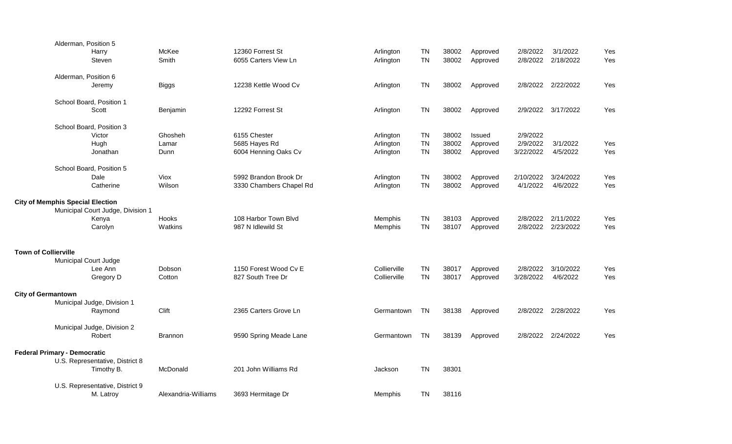|                             | Alderman, Position 5                    |                                   |                     |                         |                |           |       |          |           |                    |     |
|-----------------------------|-----------------------------------------|-----------------------------------|---------------------|-------------------------|----------------|-----------|-------|----------|-----------|--------------------|-----|
|                             |                                         | Harry                             | McKee               | 12360 Forrest St        | Arlington      | <b>TN</b> | 38002 | Approved | 2/8/2022  | 3/1/2022           | Yes |
|                             |                                         | Steven                            | Smith               | 6055 Carters View Ln    | Arlington      | <b>TN</b> | 38002 | Approved | 2/8/2022  | 2/18/2022          | Yes |
|                             |                                         |                                   |                     |                         |                |           |       |          |           |                    |     |
|                             | Alderman, Position 6                    |                                   |                     |                         |                |           |       |          |           |                    |     |
|                             |                                         | Jeremy                            | <b>Biggs</b>        | 12238 Kettle Wood Cv    | Arlington      | <b>TN</b> | 38002 | Approved |           | 2/8/2022 2/22/2022 | Yes |
|                             |                                         | School Board, Position 1          |                     |                         |                |           |       |          |           |                    |     |
|                             |                                         | Scott                             | Benjamin            | 12292 Forrest St        | Arlington      | <b>TN</b> | 38002 | Approved | 2/9/2022  | 3/17/2022          | Yes |
|                             |                                         |                                   |                     |                         |                |           |       |          |           |                    |     |
|                             |                                         | School Board, Position 3          |                     |                         |                |           |       |          |           |                    |     |
|                             |                                         | Victor                            | Ghosheh             | 6155 Chester            | Arlington      | <b>TN</b> | 38002 | Issued   | 2/9/2022  |                    |     |
|                             |                                         | Hugh                              | Lamar               | 5685 Hayes Rd           | Arlington      | <b>TN</b> | 38002 | Approved | 2/9/2022  | 3/1/2022           | Yes |
|                             |                                         | Jonathan                          | Dunn                | 6004 Henning Oaks Cv    | Arlington      | <b>TN</b> | 38002 | Approved | 3/22/2022 | 4/5/2022           | Yes |
|                             |                                         |                                   |                     |                         |                |           |       |          |           |                    |     |
|                             |                                         | School Board, Position 5          |                     |                         |                |           |       |          |           |                    |     |
|                             |                                         | Dale                              | Viox                | 5992 Brandon Brook Dr   | Arlington      | <b>TN</b> | 38002 | Approved | 2/10/2022 | 3/24/2022          | Yes |
|                             |                                         | Catherine                         | Wilson              | 3330 Chambers Chapel Rd | Arlington      | <b>TN</b> | 38002 | Approved | 4/1/2022  | 4/6/2022           | Yes |
|                             | <b>City of Memphis Special Election</b> |                                   |                     |                         |                |           |       |          |           |                    |     |
|                             |                                         | Municipal Court Judge, Division 1 |                     |                         |                |           |       |          |           |                    |     |
|                             |                                         | Kenya                             | Hooks               | 108 Harbor Town Blvd    | Memphis        | <b>TN</b> | 38103 | Approved | 2/8/2022  | 2/11/2022          | Yes |
|                             |                                         | Carolyn                           | Watkins             | 987 N Idlewild St       | Memphis        | <b>TN</b> | 38107 | Approved | 2/8/2022  | 2/23/2022          | Yes |
|                             |                                         |                                   |                     |                         |                |           |       |          |           |                    |     |
|                             |                                         |                                   |                     |                         |                |           |       |          |           |                    |     |
| <b>Town of Collierville</b> |                                         |                                   |                     |                         |                |           |       |          |           |                    |     |
|                             | Municipal Court Judge                   |                                   |                     |                         |                |           |       |          |           |                    |     |
|                             |                                         | Lee Ann                           | Dobson              | 1150 Forest Wood Cv E   | Collierville   | <b>TN</b> | 38017 | Approved | 2/8/2022  | 3/10/2022          | Yes |
|                             |                                         | Gregory D                         | Cotton              | 827 South Tree Dr       | Collierville   | <b>TN</b> | 38017 | Approved | 3/28/2022 | 4/6/2022           | Yes |
|                             |                                         |                                   |                     |                         |                |           |       |          |           |                    |     |
| <b>City of Germantown</b>   |                                         |                                   |                     |                         |                |           |       |          |           |                    |     |
|                             |                                         | Municipal Judge, Division 1       |                     |                         |                |           |       |          |           |                    |     |
|                             |                                         | Raymond                           | Clift               | 2365 Carters Grove Ln   | Germantown     | <b>TN</b> | 38138 | Approved | 2/8/2022  | 2/28/2022          | Yes |
|                             |                                         |                                   |                     |                         |                |           |       |          |           |                    |     |
|                             |                                         | Municipal Judge, Division 2       |                     |                         |                |           |       |          |           |                    |     |
|                             |                                         | Robert                            | <b>Brannon</b>      | 9590 Spring Meade Lane  | Germantown     | <b>TN</b> | 38139 | Approved |           | 2/8/2022 2/24/2022 | Yes |
|                             | <b>Federal Primary - Democratic</b>     |                                   |                     |                         |                |           |       |          |           |                    |     |
|                             |                                         | U.S. Representative, District 8   |                     |                         |                |           |       |          |           |                    |     |
|                             |                                         | Timothy B.                        | McDonald            | 201 John Williams Rd    | Jackson        | <b>TN</b> | 38301 |          |           |                    |     |
|                             |                                         |                                   |                     |                         |                |           |       |          |           |                    |     |
|                             |                                         | U.S. Representative, District 9   |                     |                         |                |           |       |          |           |                    |     |
|                             |                                         | M. Latroy                         | Alexandria-Williams | 3693 Hermitage Dr       | <b>Memphis</b> | <b>TN</b> | 38116 |          |           |                    |     |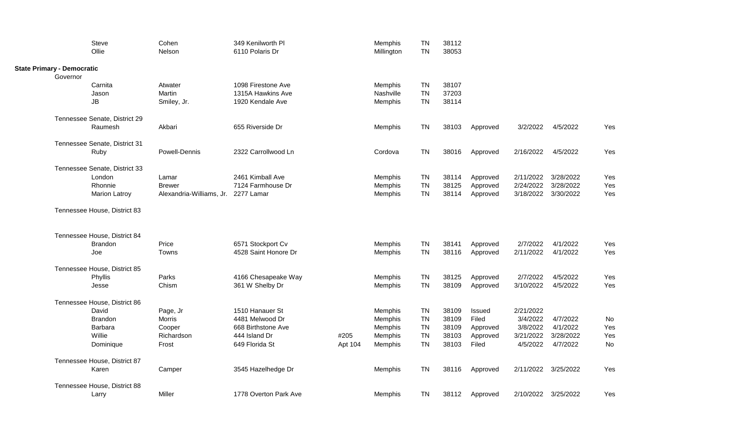|                                   | Steve                         | Cohen                               | 349 Kenilworth Pl     |         | Memphis    | <b>TN</b> | 38112 |          |           |                     |     |  |
|-----------------------------------|-------------------------------|-------------------------------------|-----------------------|---------|------------|-----------|-------|----------|-----------|---------------------|-----|--|
|                                   | Ollie                         | Nelson                              | 6110 Polaris Dr       |         | Millington | <b>TN</b> | 38053 |          |           |                     |     |  |
| <b>State Primary - Democratic</b> |                               |                                     |                       |         |            |           |       |          |           |                     |     |  |
| Governor                          |                               |                                     |                       |         |            |           |       |          |           |                     |     |  |
|                                   | Carnita                       | Atwater                             | 1098 Firestone Ave    |         | Memphis    | <b>TN</b> | 38107 |          |           |                     |     |  |
|                                   | Jason                         | Martin                              | 1315A Hawkins Ave     |         | Nashville  | <b>TN</b> | 37203 |          |           |                     |     |  |
|                                   | JB                            | Smiley, Jr.                         | 1920 Kendale Ave      |         | Memphis    | <b>TN</b> | 38114 |          |           |                     |     |  |
|                                   | Tennessee Senate, District 29 |                                     |                       |         |            |           |       |          |           |                     |     |  |
|                                   | Raumesh                       | Akbari                              | 655 Riverside Dr      |         | Memphis    | TN        | 38103 | Approved | 3/2/2022  | 4/5/2022            | Yes |  |
|                                   | Tennessee Senate, District 31 |                                     |                       |         |            |           |       |          |           |                     |     |  |
|                                   | Ruby                          | Powell-Dennis                       | 2322 Carrollwood Ln   |         | Cordova    | TN        | 38016 | Approved | 2/16/2022 | 4/5/2022            | Yes |  |
|                                   | Tennessee Senate, District 33 |                                     |                       |         |            |           |       |          |           |                     |     |  |
|                                   | London                        | Lamar                               | 2461 Kimball Ave      |         | Memphis    | TN        | 38114 | Approved | 2/11/2022 | 3/28/2022           | Yes |  |
|                                   | Rhonnie                       | <b>Brewer</b>                       | 7124 Farmhouse Dr     |         | Memphis    | <b>TN</b> | 38125 | Approved | 2/24/2022 | 3/28/2022           | Yes |  |
|                                   | <b>Marion Latroy</b>          | Alexandria-Williams, Jr. 2277 Lamar |                       |         | Memphis    | <b>TN</b> | 38114 | Approved | 3/18/2022 | 3/30/2022           | Yes |  |
|                                   | Tennessee House, District 83  |                                     |                       |         |            |           |       |          |           |                     |     |  |
|                                   | Tennessee House, District 84  |                                     |                       |         |            |           |       |          |           |                     |     |  |
|                                   | <b>Brandon</b>                | Price                               | 6571 Stockport Cv     |         | Memphis    | <b>TN</b> | 38141 | Approved | 2/7/2022  | 4/1/2022            | Yes |  |
|                                   | Joe                           | Towns                               | 4528 Saint Honore Dr  |         | Memphis    | <b>TN</b> | 38116 | Approved | 2/11/2022 | 4/1/2022            | Yes |  |
|                                   | Tennessee House, District 85  |                                     |                       |         |            |           |       |          |           |                     |     |  |
|                                   | Phyllis                       | Parks                               | 4166 Chesapeake Way   |         | Memphis    | <b>TN</b> | 38125 | Approved | 2/7/2022  | 4/5/2022            | Yes |  |
|                                   | Jesse                         | Chism                               | 361 W Shelby Dr       |         | Memphis    | <b>TN</b> | 38109 | Approved | 3/10/2022 | 4/5/2022            | Yes |  |
|                                   | Tennessee House, District 86  |                                     |                       |         |            |           |       |          |           |                     |     |  |
|                                   | David                         | Page, Jr                            | 1510 Hanauer St       |         | Memphis    | <b>TN</b> | 38109 | Issued   | 2/21/2022 |                     |     |  |
|                                   | <b>Brandon</b>                | Morris                              | 4481 Melwood Dr       |         | Memphis    | <b>TN</b> | 38109 | Filed    | 3/4/2022  | 4/7/2022            | No  |  |
|                                   | Barbara                       | Cooper                              | 668 Birthstone Ave    |         | Memphis    | <b>TN</b> | 38109 | Approved | 3/8/2022  | 4/1/2022            | Yes |  |
|                                   | Willie                        | Richardson                          | 444 Island Dr         | #205    | Memphis    | <b>TN</b> | 38103 | Approved | 3/21/2022 | 3/28/2022           | Yes |  |
|                                   | Dominique                     | Frost                               | 649 Florida St        | Apt 104 | Memphis    | <b>TN</b> | 38103 | Filed    | 4/5/2022  | 4/7/2022            | No  |  |
|                                   | Tennessee House, District 87  |                                     |                       |         |            |           |       |          |           |                     |     |  |
|                                   | Karen                         | Camper                              | 3545 Hazelhedge Dr    |         | Memphis    | <b>TN</b> | 38116 | Approved |           | 2/11/2022 3/25/2022 | Yes |  |
|                                   | Tennessee House, District 88  |                                     |                       |         |            |           |       |          |           |                     |     |  |
|                                   | Larry                         | Miller                              | 1778 Overton Park Ave |         | Memphis    | TN        | 38112 | Approved |           | 2/10/2022 3/25/2022 | Yes |  |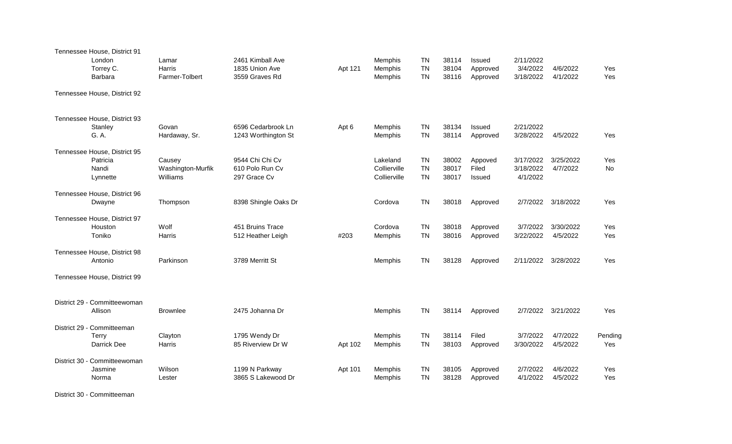| Tennessee House, District 91<br>London<br>Torrey C.<br>Barbara | Lamar<br>Harris<br>Farmer-Tolbert       | 2461 Kimball Ave<br>1835 Union Ave<br>3559 Graves Rd | Apt 121 | Memphis<br>Memphis<br>Memphis            | <b>TN</b><br><b>TN</b><br><b>TN</b> | 38114<br>38104<br>38116 | <b>Issued</b><br>Approved<br>Approved | 2/11/2022<br>3/4/2022<br>3/18/2022 | 4/6/2022<br>4/1/2022  | Yes<br>Yes     |
|----------------------------------------------------------------|-----------------------------------------|------------------------------------------------------|---------|------------------------------------------|-------------------------------------|-------------------------|---------------------------------------|------------------------------------|-----------------------|----------------|
| Tennessee House, District 92                                   |                                         |                                                      |         |                                          |                                     |                         |                                       |                                    |                       |                |
| Tennessee House, District 93<br>Stanley<br>G. A.               | Govan<br>Hardaway, Sr.                  | 6596 Cedarbrook Ln<br>1243 Worthington St            | Apt 6   | Memphis<br>Memphis                       | <b>TN</b><br><b>TN</b>              | 38134<br>38114          | Issued<br>Approved                    | 2/21/2022<br>3/28/2022             | 4/5/2022              | Yes            |
| Tennessee House, District 95<br>Patricia<br>Nandi<br>Lynnette  | Causey<br>Washington-Murfik<br>Williams | 9544 Chi Chi Cv<br>610 Polo Run Cv<br>297 Grace Cv   |         | Lakeland<br>Collierville<br>Collierville | <b>TN</b><br><b>TN</b><br><b>TN</b> | 38002<br>38017<br>38017 | Appoved<br>Filed<br>Issued            | 3/17/2022<br>3/18/2022<br>4/1/2022 | 3/25/2022<br>4/7/2022 | Yes<br>No      |
| Tennessee House, District 96<br>Dwayne                         | Thompson                                | 8398 Shingle Oaks Dr                                 |         | Cordova                                  | <b>TN</b>                           | 38018                   | Approved                              | 2/7/2022                           | 3/18/2022             | Yes            |
| Tennessee House, District 97<br>Houston<br>Toniko              | Wolf<br>Harris                          | 451 Bruins Trace<br>512 Heather Leigh                | #203    | Cordova<br>Memphis                       | <b>TN</b><br><b>TN</b>              | 38018<br>38016          | Approved<br>Approved                  | 3/7/2022<br>3/22/2022              | 3/30/2022<br>4/5/2022 | Yes<br>Yes     |
| Tennessee House, District 98<br>Antonio                        | Parkinson                               | 3789 Merritt St                                      |         | Memphis                                  | <b>TN</b>                           | 38128                   | Approved                              | 2/11/2022                          | 3/28/2022             | Yes            |
| Tennessee House, District 99                                   |                                         |                                                      |         |                                          |                                     |                         |                                       |                                    |                       |                |
| District 29 - Committeewoman<br>Allison                        | <b>Brownlee</b>                         | 2475 Johanna Dr                                      |         | Memphis                                  | <b>TN</b>                           | 38114                   | Approved                              | 2/7/2022                           | 3/21/2022             | Yes            |
| District 29 - Committeeman<br><b>Terry</b><br>Darrick Dee      | Clayton<br>Harris                       | 1795 Wendy Dr<br>85 Riverview Dr W                   | Apt 102 | Memphis<br>Memphis                       | <b>TN</b><br><b>TN</b>              | 38114<br>38103          | Filed<br>Approved                     | 3/7/2022<br>3/30/2022              | 4/7/2022<br>4/5/2022  | Pending<br>Yes |
| District 30 - Committeewoman<br>Jasmine<br>Norma               | Wilson<br>Lester                        | 1199 N Parkway<br>3865 S Lakewood Dr                 | Apt 101 | Memphis<br>Memphis                       | <b>TN</b><br><b>TN</b>              | 38105<br>38128          | Approved<br>Approved                  | 2/7/2022<br>4/1/2022               | 4/6/2022<br>4/5/2022  | Yes<br>Yes     |

District 30 - Committeeman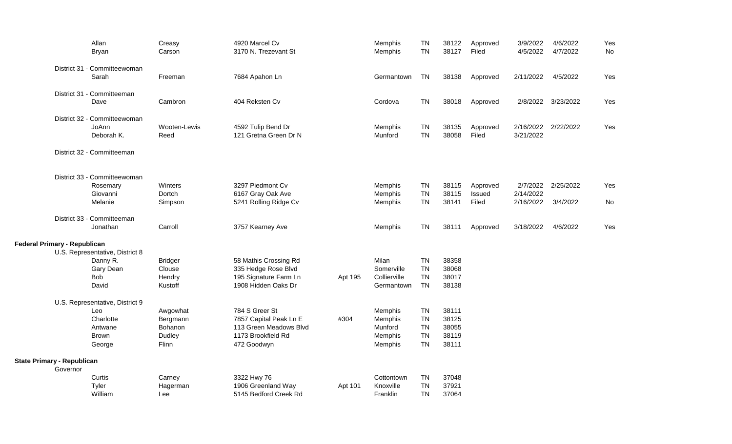|                                     |          | Allan<br><b>Bryan</b>                    | Creasy<br>Carson | 4920 Marcel Cv<br>3170 N. Trezevant St |         | Memphis<br>Memphis | <b>TN</b><br><b>TN</b> | 38122<br>38127 | Approved<br>Filed | 3/9/2022<br>4/5/2022 | 4/6/2022<br>4/7/2022 | Yes<br>No |
|-------------------------------------|----------|------------------------------------------|------------------|----------------------------------------|---------|--------------------|------------------------|----------------|-------------------|----------------------|----------------------|-----------|
|                                     |          |                                          |                  |                                        |         |                    |                        |                |                   |                      |                      |           |
|                                     |          | District 31 - Committeewoman             |                  |                                        |         |                    |                        |                |                   |                      |                      |           |
|                                     |          | Sarah                                    | Freeman          | 7684 Apahon Ln                         |         | Germantown         | <b>TN</b>              | 38138          | Approved          | 2/11/2022            | 4/5/2022             | Yes       |
|                                     |          | District 31 - Committeeman               |                  |                                        |         |                    |                        |                |                   |                      |                      |           |
|                                     |          | Dave                                     | Cambron          | 404 Reksten Cv                         |         | Cordova            | <b>TN</b>              | 38018          | Approved          | 2/8/2022             | 3/23/2022            | Yes       |
|                                     |          | District 32 - Committeewoman             |                  |                                        |         |                    |                        |                |                   |                      |                      |           |
|                                     |          | JoAnn                                    | Wooten-Lewis     | 4592 Tulip Bend Dr                     |         | Memphis            | <b>TN</b>              | 38135          | Approved          | 2/16/2022            | 2/22/2022            | Yes       |
|                                     |          | Deborah K.                               | Reed             | 121 Gretna Green Dr N                  |         | Munford            | <b>TN</b>              | 38058          | Filed             | 3/21/2022            |                      |           |
|                                     |          | District 32 - Committeeman               |                  |                                        |         |                    |                        |                |                   |                      |                      |           |
|                                     |          |                                          |                  |                                        |         |                    |                        |                |                   |                      |                      |           |
|                                     |          | District 33 - Committeewoman<br>Rosemary | Winters          | 3297 Piedmont Cv                       |         | Memphis            | <b>TN</b>              | 38115          | Approved          | 2/7/2022             | 2/25/2022            | Yes       |
|                                     |          | Giovanni                                 | Dortch           | 6167 Gray Oak Ave                      |         | Memphis            | <b>TN</b>              | 38115          | Issued            | 2/14/2022            |                      |           |
|                                     |          | Melanie                                  | Simpson          | 5241 Rolling Ridge Cv                  |         | Memphis            | <b>TN</b>              | 38141          | Filed             | 2/16/2022            | 3/4/2022             | No        |
|                                     |          |                                          |                  |                                        |         |                    |                        |                |                   |                      |                      |           |
|                                     |          | District 33 - Committeeman               |                  |                                        |         |                    |                        |                |                   |                      |                      |           |
|                                     |          | Jonathan                                 | Carroll          | 3757 Kearney Ave                       |         | Memphis            | <b>TN</b>              | 38111          | Approved          | 3/18/2022            | 4/6/2022             | Yes       |
| <b>Federal Primary - Republican</b> |          |                                          |                  |                                        |         |                    |                        |                |                   |                      |                      |           |
|                                     |          | U.S. Representative, District 8          |                  |                                        |         |                    |                        |                |                   |                      |                      |           |
|                                     |          | Danny R.                                 | <b>Bridger</b>   | 58 Mathis Crossing Rd                  |         | <b>Milan</b>       | <b>TN</b>              | 38358          |                   |                      |                      |           |
|                                     |          | Gary Dean                                | Clouse           | 335 Hedge Rose Blvd                    |         | Somerville         | <b>TN</b>              | 38068          |                   |                      |                      |           |
|                                     |          | <b>Bob</b>                               | Hendry           | 195 Signature Farm Ln                  | Apt 195 | Collierville       | <b>TN</b>              | 38017          |                   |                      |                      |           |
|                                     |          | David                                    | Kustoff          | 1908 Hidden Oaks Dr                    |         | Germantown         | <b>TN</b>              | 38138          |                   |                      |                      |           |
|                                     |          | U.S. Representative, District 9          |                  |                                        |         |                    |                        |                |                   |                      |                      |           |
|                                     |          | Leo                                      | Awgowhat         | 784 S Greer St                         |         | Memphis            | <b>TN</b>              | 38111          |                   |                      |                      |           |
|                                     |          | Charlotte                                | Bergmann         | 7857 Capital Peak Ln E                 | #304    | Memphis            | <b>TN</b>              | 38125          |                   |                      |                      |           |
|                                     |          | Antwane                                  | Bohanon          | 113 Green Meadows Blvd                 |         | Munford            | <b>TN</b>              | 38055          |                   |                      |                      |           |
|                                     |          | <b>Brown</b>                             | Dudley           | 1173 Brookfield Rd                     |         | Memphis            | <b>TN</b>              | 38119          |                   |                      |                      |           |
|                                     |          | George                                   | Flinn            | 472 Goodwyn                            |         | Memphis            | <b>TN</b>              | 38111          |                   |                      |                      |           |
| <b>State Primary - Republican</b>   |          |                                          |                  |                                        |         |                    |                        |                |                   |                      |                      |           |
|                                     | Governor |                                          |                  |                                        |         |                    |                        |                |                   |                      |                      |           |
|                                     |          | Curtis                                   | Carney           | 3322 Hwy 76                            |         | Cottontown         | <b>TN</b>              | 37048          |                   |                      |                      |           |
|                                     |          | Tyler                                    | Hagerman         | 1906 Greenland Way                     | Apt 101 | Knoxville          | <b>TN</b>              | 37921          |                   |                      |                      |           |
|                                     |          | William                                  | Lee              | 5145 Bedford Creek Rd                  |         | <b>Franklin</b>    | <b>TN</b>              | 37064          |                   |                      |                      |           |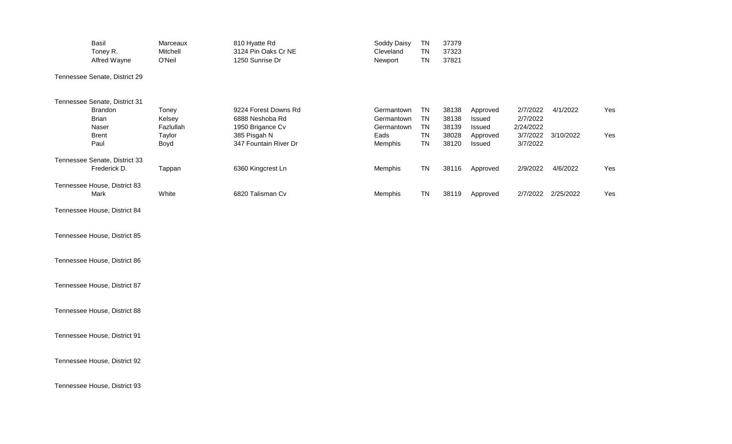| Basil<br>Toney R.<br>Alfred Wayne             | Marceaux<br>Mitchell<br>O'Neil | 810 Hyatte Rd<br>3124 Pin Oaks Cr NE<br>1250 Sunrise Dr     | Soddy Daisy<br>Cleveland<br>Newport    | <b>TN</b><br><b>TN</b><br><b>TN</b> | 37379<br>37323<br>37821 |                              |                                   |                    |     |
|-----------------------------------------------|--------------------------------|-------------------------------------------------------------|----------------------------------------|-------------------------------------|-------------------------|------------------------------|-----------------------------------|--------------------|-----|
| Tennessee Senate, District 29                 |                                |                                                             |                                        |                                     |                         |                              |                                   |                    |     |
| Tennessee Senate, District 31                 |                                |                                                             |                                        |                                     |                         |                              |                                   |                    |     |
| Brandon<br><b>Brian</b><br>Naser              | Toney<br>Kelsey<br>Fazlullah   | 9224 Forest Downs Rd<br>6888 Neshoba Rd<br>1950 Brigance Cv | Germantown<br>Germantown<br>Germantown | <b>TN</b><br><b>TN</b><br><b>TN</b> | 38138<br>38138<br>38139 | Approved<br>Issued<br>Issued | 2/7/2022<br>2/7/2022<br>2/24/2022 | 4/1/2022           | Yes |
| <b>Brent</b><br>Paul                          | Taylor<br>Boyd                 | 385 Pisgah N<br>347 Fountain River Dr                       | Eads<br>Memphis                        | <b>TN</b><br><b>TN</b>              | 38028<br>38120          | Approved<br>Issued           | 3/7/2022<br>3/7/2022              | 3/10/2022          | Yes |
| Tennessee Senate, District 33<br>Frederick D. | Tappan                         | 6360 Kingcrest Ln                                           | Memphis                                | <b>TN</b>                           | 38116                   | Approved                     | 2/9/2022                          | 4/6/2022           | Yes |
| Tennessee House, District 83<br>Mark          | White                          | 6820 Talisman Cv                                            | Memphis                                | <b>TN</b>                           | 38119                   | Approved                     |                                   | 2/7/2022 2/25/2022 | Yes |
| Tennessee House, District 84                  |                                |                                                             |                                        |                                     |                         |                              |                                   |                    |     |
| Tennessee House, District 85                  |                                |                                                             |                                        |                                     |                         |                              |                                   |                    |     |
| Tennessee House, District 86                  |                                |                                                             |                                        |                                     |                         |                              |                                   |                    |     |
| Tennessee House, District 87                  |                                |                                                             |                                        |                                     |                         |                              |                                   |                    |     |
| Tennessee House, District 88                  |                                |                                                             |                                        |                                     |                         |                              |                                   |                    |     |
| Tennessee House, District 91                  |                                |                                                             |                                        |                                     |                         |                              |                                   |                    |     |
| Tennessee House, District 92                  |                                |                                                             |                                        |                                     |                         |                              |                                   |                    |     |
| Tennessee House, District 93                  |                                |                                                             |                                        |                                     |                         |                              |                                   |                    |     |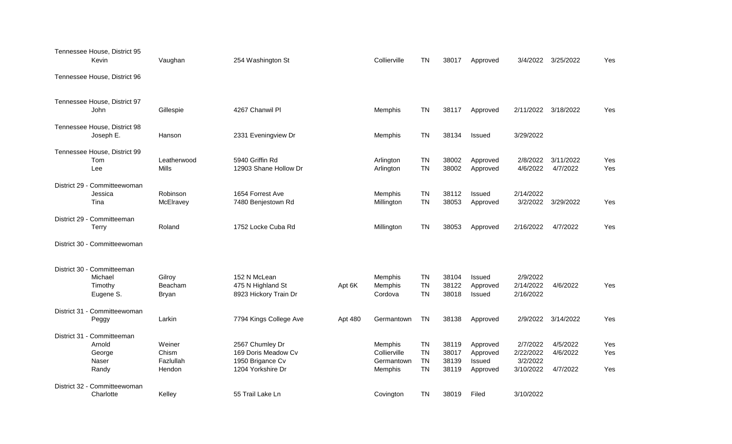| Tennessee House, District 95<br>Kevin                            | Vaughan                                | 254 Washington St                                                               |         | Collierville                                     | <b>TN</b>                                        | 38017                            | Approved                                   |                                                | 3/4/2022 3/25/2022               | Yes               |
|------------------------------------------------------------------|----------------------------------------|---------------------------------------------------------------------------------|---------|--------------------------------------------------|--------------------------------------------------|----------------------------------|--------------------------------------------|------------------------------------------------|----------------------------------|-------------------|
| Tennessee House, District 96                                     |                                        |                                                                                 |         |                                                  |                                                  |                                  |                                            |                                                |                                  |                   |
| Tennessee House, District 97<br><b>John</b>                      | Gillespie                              | 4267 Chanwil Pl                                                                 |         | Memphis                                          | <b>TN</b>                                        | 38117                            | Approved                                   |                                                | 2/11/2022 3/18/2022              | Yes               |
| Tennessee House, District 98<br>Joseph E.                        | Hanson                                 | 2331 Eveningview Dr                                                             |         | Memphis                                          | <b>TN</b>                                        | 38134                            | Issued                                     | 3/29/2022                                      |                                  |                   |
| Tennessee House, District 99<br>Tom<br>Lee                       | Leatherwood<br>Mills                   | 5940 Griffin Rd<br>12903 Shane Hollow Dr                                        |         | Arlington<br>Arlington                           | TN<br><b>TN</b>                                  | 38002<br>38002                   | Approved<br>Approved                       | 2/8/2022<br>4/6/2022                           | 3/11/2022<br>4/7/2022            | Yes<br>Yes        |
| District 29 - Committeewoman<br>Jessica<br>Tina                  | Robinson<br>McElravey                  | 1654 Forrest Ave<br>7480 Benjestown Rd                                          |         | Memphis<br>Millington                            | <b>TN</b><br><b>TN</b>                           | 38112<br>38053                   | Issued<br>Approved                         | 2/14/2022<br>3/2/2022                          | 3/29/2022                        | Yes               |
| District 29 - Committeeman<br><b>Terry</b>                       | Roland                                 | 1752 Locke Cuba Rd                                                              |         | Millington                                       | <b>TN</b>                                        | 38053                            | Approved                                   | 2/16/2022                                      | 4/7/2022                         | Yes               |
| District 30 - Committeewoman                                     |                                        |                                                                                 |         |                                                  |                                                  |                                  |                                            |                                                |                                  |                   |
| District 30 - Committeeman<br>Michael<br>Timothy<br>Eugene S.    | Gilroy<br>Beacham<br><b>Bryan</b>      | 152 N McLean<br>475 N Highland St<br>8923 Hickory Train Dr                      | Apt 6K  | Memphis<br>Memphis<br>Cordova                    | <b>TN</b><br><b>TN</b><br><b>TN</b>              | 38104<br>38122<br>38018          | Issued<br>Approved<br>Issued               | 2/9/2022<br>2/14/2022<br>2/16/2022             | 4/6/2022                         | Yes               |
| District 31 - Committeewoman<br>Peggy                            | Larkin                                 | 7794 Kings College Ave                                                          | Apt 480 | Germantown                                       | <b>TN</b>                                        | 38138                            | Approved                                   | 2/9/2022                                       | 3/14/2022                        | Yes               |
| District 31 - Committeeman<br>Arnold<br>George<br>Naser<br>Randy | Weiner<br>Chism<br>Fazlullah<br>Hendon | 2567 Chumley Dr<br>169 Doris Meadow Cv<br>1950 Brigance Cv<br>1204 Yorkshire Dr |         | Memphis<br>Collierville<br>Germantown<br>Memphis | <b>TN</b><br><b>TN</b><br><b>TN</b><br><b>TN</b> | 38119<br>38017<br>38139<br>38119 | Approved<br>Approved<br>Issued<br>Approved | 2/7/2022<br>2/22/2022<br>3/2/2022<br>3/10/2022 | 4/5/2022<br>4/6/2022<br>4/7/2022 | Yes<br>Yes<br>Yes |
| District 32 - Committeewoman<br>Charlotte                        | Kelley                                 | 55 Trail Lake Ln                                                                |         | Covington                                        | <b>TN</b>                                        | 38019                            | Filed                                      | 3/10/2022                                      |                                  |                   |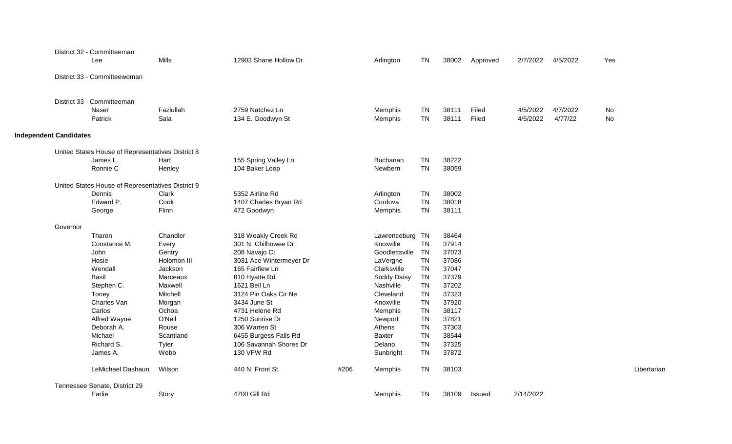|                               |          | District 32 - Committeeman<br>Lee                 | <b>Mills</b>      | 12903 Shane Hollow Dr                |      | Arlington          | <b>TN</b>              | 38002          | Approved       | 2/7/2022             | 4/5/2022            | Yes         |
|-------------------------------|----------|---------------------------------------------------|-------------------|--------------------------------------|------|--------------------|------------------------|----------------|----------------|----------------------|---------------------|-------------|
|                               |          | District 33 - Committeewoman                      |                   |                                      |      |                    |                        |                |                |                      |                     |             |
|                               |          | District 33 - Committeeman                        |                   |                                      |      |                    |                        |                |                |                      |                     |             |
|                               |          | Naser<br>Patrick                                  | Fazlullah<br>Sala | 2759 Natchez Ln<br>134 E. Goodwyn St |      | Memphis<br>Memphis | <b>TN</b><br><b>TN</b> | 38111<br>38111 | Filed<br>Filed | 4/5/2022<br>4/5/2022 | 4/7/2022<br>4/77/22 | No<br>No    |
| <b>Independent Candidates</b> |          |                                                   |                   |                                      |      |                    |                        |                |                |                      |                     |             |
|                               |          | United States House of Representatives District 8 |                   |                                      |      |                    |                        |                |                |                      |                     |             |
|                               |          | James L.                                          | Hart              | 155 Spring Valley Ln                 |      | Buchanan           | <b>TN</b>              | 38222          |                |                      |                     |             |
|                               |          | Ronnie C                                          | Henley            | 104 Baker Loop                       |      | Newbern            | <b>TN</b>              | 38059          |                |                      |                     |             |
|                               |          | United States House of Representatives District 9 |                   |                                      |      |                    |                        |                |                |                      |                     |             |
|                               |          | <b>Dennis</b>                                     | Clark             | 5352 Airline Rd                      |      | Arlington          | <b>TN</b>              | 38002          |                |                      |                     |             |
|                               |          | Edward P.                                         | Cook              | 1407 Charles Bryan Rd                |      | Cordova            | <b>TN</b>              | 38018          |                |                      |                     |             |
|                               |          | George                                            | Flinn             | 472 Goodwyn                          |      | Memphis            | <b>TN</b>              | 38111          |                |                      |                     |             |
|                               | Governor |                                                   |                   |                                      |      |                    |                        |                |                |                      |                     |             |
|                               |          | Tharon                                            | Chandler          | 318 Weakly Creek Rd                  |      | Lawrenceburg       | <b>TN</b>              | 38464          |                |                      |                     |             |
|                               |          | Constance M.                                      | Every             | 301 N. Chilhowee Dr                  |      | Knoxville          | <b>TN</b>              | 37914          |                |                      |                     |             |
|                               |          | John                                              | Gentry            | 208 Navajo Ct                        |      | Goodlettsville     | <b>TN</b>              | 37073          |                |                      |                     |             |
|                               |          | Hosie                                             | Holomon III       | 3031 Ace Wintermeyer Dr              |      | LaVergne           | TN                     | 37086          |                |                      |                     |             |
|                               |          | Wendall                                           | Jackson           | 165 Fairfiew Ln                      |      | Clarksville        | <b>TN</b>              | 37047          |                |                      |                     |             |
|                               |          | Basil                                             | Marceaux          | 810 Hyatte Rd                        |      | Soddy Daisy        | <b>TN</b>              | 37379          |                |                      |                     |             |
|                               |          | Stephen C.                                        | Maxwell           | 1621 Bell Ln                         |      | Nashville          | <b>TN</b>              | 37202          |                |                      |                     |             |
|                               |          | Toney                                             | Mitchell          | 3124 Pin Oaks Cir Ne                 |      | Cleveland          | <b>TN</b>              | 37323          |                |                      |                     |             |
|                               |          | Charles Van                                       | Morgan            | 3434 June St                         |      | Knoxville          | <b>TN</b>              | 37920          |                |                      |                     |             |
|                               |          | Carlos                                            | Ochoa             | 4731 Helene Rd                       |      | Memphis            | <b>TN</b>              | 38117          |                |                      |                     |             |
|                               |          | Alfred Wayne                                      | O'Neil            | 1250 Sunrise Dr                      |      | Newport            | <b>TN</b>              | 37821          |                |                      |                     |             |
|                               |          | Deborah A.                                        | Rouse             | 306 Warren St                        |      | Athens             | <b>TN</b>              | 37303          |                |                      |                     |             |
|                               |          | Michael                                           | Scantland         | 6455 Burgess Falls Rd                |      | Baxter             | <b>TN</b>              | 38544          |                |                      |                     |             |
|                               |          | Richard S.                                        | Tyler             | 106 Savannah Shores Dr               |      | Delano             | <b>TN</b>              | 37325          |                |                      |                     |             |
|                               |          | James A.                                          | Webb              | 130 VFW Rd                           |      | Sunbright          | <b>TN</b>              | 37872          |                |                      |                     |             |
|                               |          | LeMichael Dashaun                                 | Wilson            | 440 N. Front St                      | #206 | Memphis            | <b>TN</b>              | 38103          |                |                      |                     | Libertarian |
|                               |          | Tennessee Senate, District 29                     |                   |                                      |      |                    |                        |                |                |                      |                     |             |
|                               |          | Earlie                                            | Story             | 4700 Gill Rd                         |      | Memphis            | <b>TN</b>              | 38109          | Issued         | 2/14/2022            |                     |             |